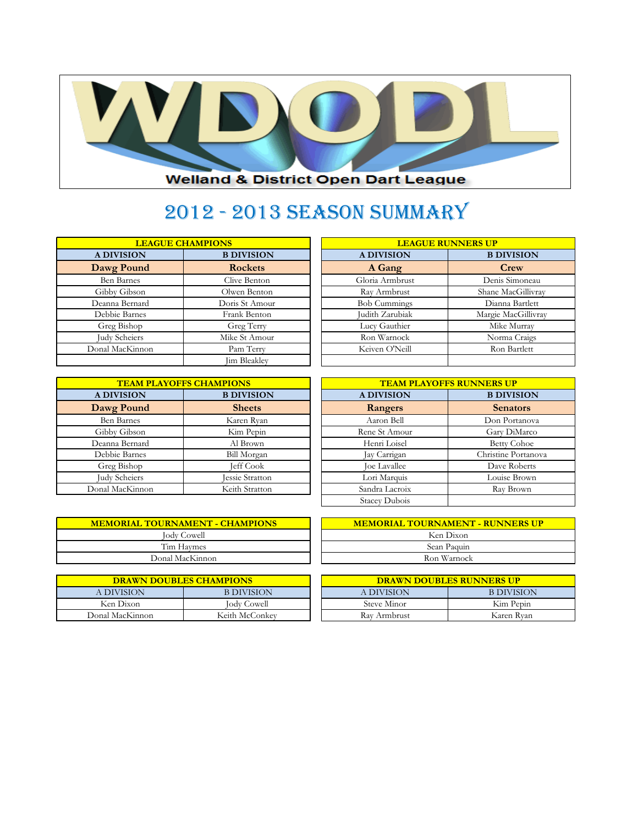

## 2012 - 2013 Season Summary

| <b>LEAGUE CHAMPIONS</b> |                   |                     | <b>LEAGUE RUNNERS UP</b> |
|-------------------------|-------------------|---------------------|--------------------------|
| <b>A DIVISION</b>       | <b>B DIVISION</b> | <b>A DIVISION</b>   | <b>B DIVISION</b>        |
| Dawg Pound              | <b>Rockets</b>    | A Gang              | Crew                     |
| <b>Ben Barnes</b>       | Clive Benton      | Gloria Armbrust     | Denis Simoneau           |
| Gibby Gibson            | Olwen Benton      | Ray Armbrust        | Shane MacGillivr         |
| Deanna Bernard          | Doris St Amour    | <b>Bob Cummings</b> | Dianna Bartlett          |
| Debbie Barnes           | Frank Benton      | Judith Zarubiak     | Margie MacGillivi        |
| Greg Bishop             | Greg Terry        | Lucy Gauthier       | Mike Murray              |
| Judy Scheiers           | Mike St Amour     | Ron Warnock         | Norma Craigs             |
| Donal MacKinnon         | Pam Terry         | Keiven O'Neill      | Ron Bartlett             |
|                         | Jim Bleakley      |                     |                          |

| <b>LEAGUE CHAMPIONS</b> |                     |                     | <b>LEAGUE RUNNERS UP</b> |
|-------------------------|---------------------|---------------------|--------------------------|
| <b>A DIVISION</b>       | <b>B DIVISION</b>   | <b>A DIVISION</b>   | <b>B DIVISION</b>        |
| <b>Dawg Pound</b>       | <b>Rockets</b>      | A Gang              | Crew                     |
| <b>Ben Barnes</b>       | Clive Benton        | Gloria Armbrust     | Denis Simoneau           |
| Gibby Gibson            | Olwen Benton        | Ray Armbrust        | Shane MacGillivray       |
| Deanna Bernard          | Doris St Amour      | <b>Bob Cummings</b> | Dianna Bartlett          |
| Debbie Barnes           | Frank Benton        | Judith Zarubiak     | Margie MacGillivray      |
| Greg Bishop             | Greg Terry          | Lucy Gauthier       | Mike Murray              |
| <b>Judy Scheiers</b>    | Mike St Amour       | Ron Warnock         | Norma Craigs             |
| onal MacKinnon          | Pam Terry           | Keiven O'Neill      | Ron Bartlett             |
|                         | <b>Lim Bleakley</b> |                     |                          |

| <b>TEAM PLAYOFFS CHAMPIONS</b>         |                        | <b>TEAM PLAYOFFS RUNNERS UP</b> |                    |  |
|----------------------------------------|------------------------|---------------------------------|--------------------|--|
| <b>A DIVISION</b><br><b>B DIVISION</b> |                        | <b>A DIVISION</b>               | <b>B DIVISION</b>  |  |
| Dawg Pound                             | <b>Sheets</b>          | Rangers                         | <b>Senators</b>    |  |
| <b>Ben Barnes</b>                      | Karen Ryan             | Aaron Bell                      | Don Portanova      |  |
| Gibby Gibson                           | Kim Pepin              | Rene St Amour                   | Gary DiMarco       |  |
| Deanna Bernard                         | Al Brown               | Henri Loisel                    | <b>Betty Cohoe</b> |  |
| Debbie Barnes                          | Bill Morgan            | Jay Carrigan                    | Christine Portano  |  |
| Greg Bishop                            | Jeff Cook              | Joe Lavallee                    | Dave Roberts       |  |
| Judy Scheiers                          | <b>Jessie Stratton</b> | Lori Marquis                    | Louise Brown       |  |
| Donal MacKinnon                        | Keith Stratton         | Sandra Lacroix                  | Ray Brown          |  |

| <b>TEAM PLAYOFFS CHAMPIONS</b> |                        |                      | <b>TEAM PLAYOFFS RUNNERS UP</b> |
|--------------------------------|------------------------|----------------------|---------------------------------|
| <b>A DIVISION</b>              | <b>B DIVISION</b>      | <b>A DIVISION</b>    | <b>B DIVISION</b>               |
| <b>Dawg Pound</b>              | <b>Sheets</b>          | Rangers              | <b>Senators</b>                 |
| <b>Ben Barnes</b>              | Karen Ryan             | Aaron Bell           | Don Portanova                   |
| Gibby Gibson                   | Kim Pepin              | Rene St Amour        | Gary DiMarco                    |
| Deanna Bernard                 | Al Brown               | Henri Loisel         | <b>Betty Cohoe</b>              |
| Debbie Barnes                  | <b>Bill Morgan</b>     | Jay Carrigan         | Christine Portanova             |
| Greg Bishop                    | <b>Jeff Cook</b>       | Joe Lavallee         | Dave Roberts                    |
| <b>Judy Scheiers</b>           | <b>Jessie Stratton</b> | Lori Marquis         | Louise Brown                    |
| onal MacKinnon                 | Keith Stratton         | Sandra Lacroix       | Ray Brown                       |
|                                |                        | <b>Stacey Dubois</b> |                                 |

| <b>MEMORIAL TOURNAMENT - CHAMPIONS</b> |  |
|----------------------------------------|--|
| <b>Jody Cowell</b>                     |  |
| Tim Haymes                             |  |
| Donal MacKinnon                        |  |

|                 | <b>DRAWN DOUBLES CHAMPIONS</b> | <b>DRAWN DOUBLES RUNNERS UP</b> |                   |
|-----------------|--------------------------------|---------------------------------|-------------------|
| A DIVISION      | <b>B DIVISION</b>              | A DIVISION                      | <b>B DIVISION</b> |
| Ken Dixon       | <b>Jody Cowell</b>             | Steve Minor                     | Kim Pepin         |
| Donal MacKinnon | Keith McConkey                 | Ray Armbrust                    | Karen Ryan        |

| <b>MEMORIAL TOURNAMENT - CHAMPIONS</b> | <b>MEMORIAL TOURNAMENT - RUNNERS UP</b> |
|----------------------------------------|-----------------------------------------|
| <b>Jody Cowell</b>                     | Ken Dixon                               |
| Tim Haymes                             | Sean Paquin                             |
| Donal MacKinnon                        | Ron Warnock                             |

| <b>DRAWN DOUBLES CHAMPIONS</b> |                    | <b>DRAWN DOUBLES RUNNERS UP</b> |                   |  |
|--------------------------------|--------------------|---------------------------------|-------------------|--|
| A DIVISION                     | B DIVISION         | A DIVISION                      | <b>B DIVISION</b> |  |
| Ken Dixon                      | <b>Jody Cowell</b> | Steve Minor                     | Kim Pepin         |  |
| Donal MacKinnon                | Keith McConkey     | Ray Armbrust                    | Karen Ryan        |  |